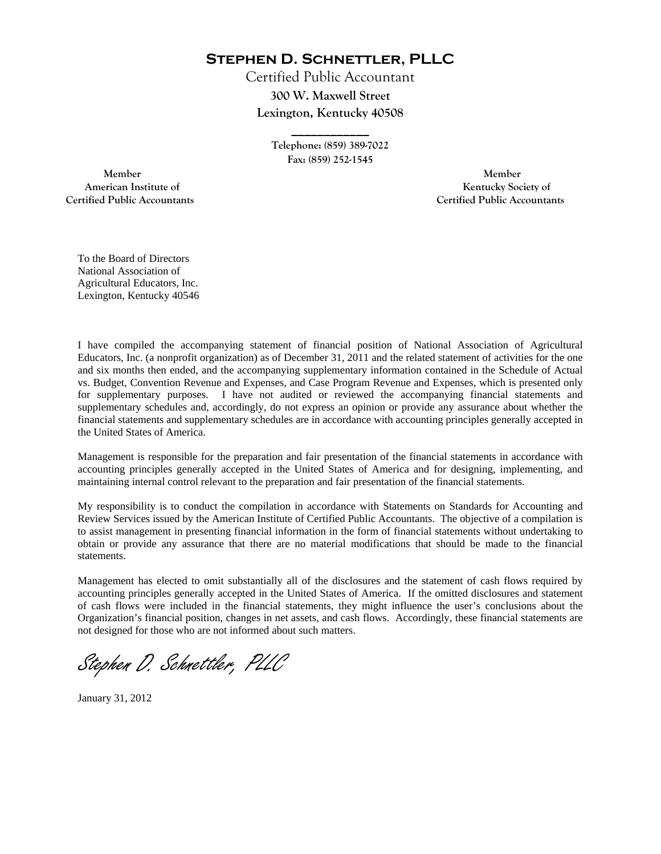**Stephen D. Schnettler, PLLC**

Certified Public Accountant **300 W. Maxwell Street Lexington, Kentucky 40508** 

> **Telephone: (859) 389-7022 Fax: (859) 252-1545**

**\_\_\_\_\_\_\_\_\_\_\_\_** 

 **Member Member Certified Public Accountants Certified Public Accountants** 

American Institute of **Kentucky Society of American Institute of** 

To the Board of Directors National Association of Agricultural Educators, Inc. Lexington, Kentucky 40546

I have compiled the accompanying statement of financial position of National Association of Agricultural Educators, Inc. (a nonprofit organization) as of December 31, 2011 and the related statement of activities for the one and six months then ended, and the accompanying supplementary information contained in the Schedule of Actual vs. Budget, Convention Revenue and Expenses, and Case Program Revenue and Expenses, which is presented only for supplementary purposes. I have not audited or reviewed the accompanying financial statements and supplementary schedules and, accordingly, do not express an opinion or provide any assurance about whether the financial statements and supplementary schedules are in accordance with accounting principles generally accepted in the United States of America.

Management is responsible for the preparation and fair presentation of the financial statements in accordance with accounting principles generally accepted in the United States of America and for designing, implementing, and maintaining internal control relevant to the preparation and fair presentation of the financial statements.

My responsibility is to conduct the compilation in accordance with Statements on Standards for Accounting and Review Services issued by the American Institute of Certified Public Accountants. The objective of a compilation is to assist management in presenting financial information in the form of financial statements without undertaking to obtain or provide any assurance that there are no material modifications that should be made to the financial statements.

Management has elected to omit substantially all of the disclosures and the statement of cash flows required by accounting principles generally accepted in the United States of America. If the omitted disclosures and statement of cash flows were included in the financial statements, they might influence the user's conclusions about the Organization's financial position, changes in net assets, and cash flows. Accordingly, these financial statements are not designed for those who are not informed about such matters.

Stephen D. Schnettler, PLLC

January 31, 2012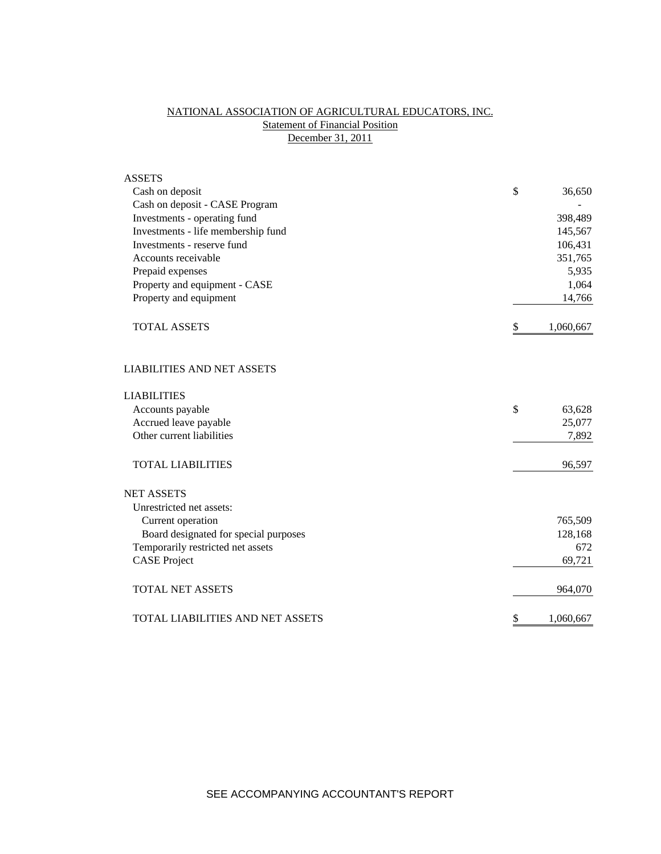# NATIONAL ASSOCIATION OF AGRICULTURAL EDUCATORS, INC. **Statement of Financial Position** December 31, 2011

| <b>ASSETS</b>                         |                 |
|---------------------------------------|-----------------|
| Cash on deposit                       | \$<br>36,650    |
| Cash on deposit - CASE Program        |                 |
| Investments - operating fund          | 398,489         |
| Investments - life membership fund    | 145,567         |
| Investments - reserve fund            | 106,431         |
| Accounts receivable                   | 351,765         |
| Prepaid expenses                      | 5,935           |
| Property and equipment - CASE         | 1,064           |
| Property and equipment                | 14,766          |
| <b>TOTAL ASSETS</b>                   | \$<br>1,060,667 |
| <b>LIABILITIES AND NET ASSETS</b>     |                 |
| <b>LIABILITIES</b>                    |                 |
| Accounts payable                      | \$<br>63,628    |
| Accrued leave payable                 | 25,077          |
| Other current liabilities             | 7,892           |
| <b>TOTAL LIABILITIES</b>              | 96,597          |
| <b>NET ASSETS</b>                     |                 |
| Unrestricted net assets:              |                 |
| Current operation                     | 765,509         |
| Board designated for special purposes | 128,168         |
| Temporarily restricted net assets     | 672             |
| <b>CASE Project</b>                   | 69,721          |
| <b>TOTAL NET ASSETS</b>               | 964,070         |
| TOTAL LIABILITIES AND NET ASSETS      | \$<br>1,060,667 |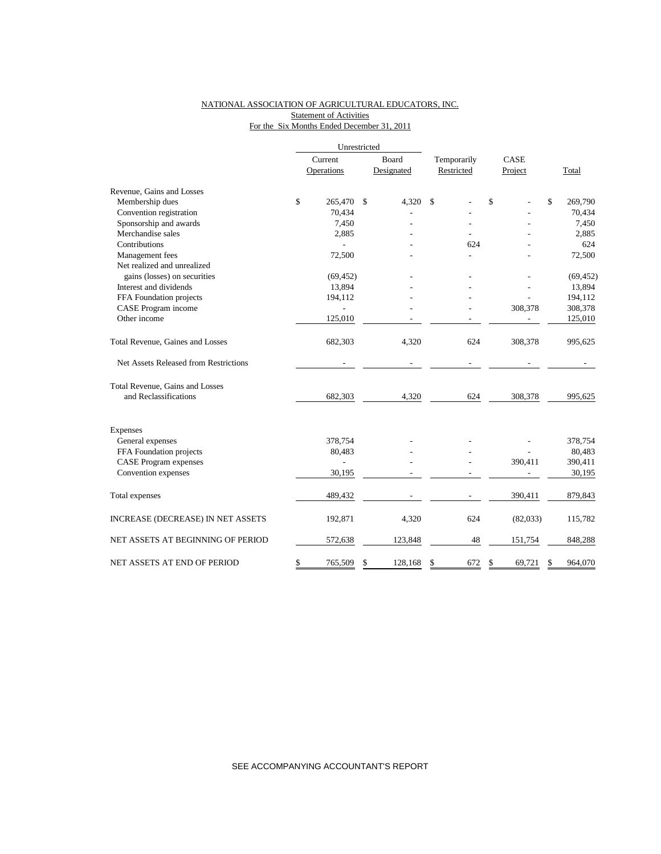### NATIONAL ASSOCIATION OF AGRICULTURAL EDUCATORS, INC. **Statement of Activities** For the Six Months Ended December 31, 2011

|                                       | Unrestricted |            |    |            |             |     |             |          |               |  |
|---------------------------------------|--------------|------------|----|------------|-------------|-----|-------------|----------|---------------|--|
|                                       | Current      |            |    | Board      | Temporarily |     | <b>CASE</b> |          |               |  |
|                                       |              | Operations |    | Designated | Restricted  |     |             | Project  | Total         |  |
| Revenue, Gains and Losses             |              |            |    |            |             |     |             |          |               |  |
| Membership dues                       | \$           | 265,470    | \$ | 4,320      | \$          |     | \$          |          | \$<br>269,790 |  |
| Convention registration               |              | 70,434     |    |            |             |     |             |          | 70,434        |  |
| Sponsorship and awards                |              | 7,450      |    |            |             |     |             |          | 7,450         |  |
| Merchandise sales                     |              | 2,885      |    |            |             |     |             |          | 2,885         |  |
| Contributions                         |              |            |    |            |             | 624 |             |          | 624           |  |
| Management fees                       |              | 72,500     |    |            |             |     |             |          | 72,500        |  |
| Net realized and unrealized           |              |            |    |            |             |     |             |          |               |  |
| gains (losses) on securities          |              | (69, 452)  |    |            |             |     |             |          | (69, 452)     |  |
| Interest and dividends                |              | 13,894     |    |            |             |     |             |          | 13,894        |  |
| FFA Foundation projects               |              | 194,112    |    |            |             |     |             |          | 194,112       |  |
| CASE Program income                   |              |            |    |            |             |     |             | 308,378  | 308,378       |  |
| Other income                          |              | 125,010    |    |            |             |     |             |          | 125,010       |  |
| Total Revenue, Gaines and Losses      |              | 682,303    |    | 4,320      |             | 624 |             | 308,378  | 995,625       |  |
| Net Assets Released from Restrictions |              |            |    |            |             |     |             |          |               |  |
| Total Revenue, Gains and Losses       |              |            |    |            |             |     |             |          |               |  |
| and Reclassifications                 |              | 682,303    |    | 4,320      |             | 624 |             | 308,378  | 995,625       |  |
| Expenses                              |              |            |    |            |             |     |             |          |               |  |
| General expenses                      |              | 378,754    |    |            |             |     |             |          | 378,754       |  |
| FFA Foundation projects               |              | 80,483     |    |            |             |     |             |          | 80,483        |  |
| <b>CASE Program expenses</b>          |              |            |    |            |             |     |             | 390,411  | 390,411       |  |
| Convention expenses                   |              | 30,195     |    |            |             |     |             |          | 30,195        |  |
| Total expenses                        |              | 489,432    |    |            |             |     |             | 390,411  | 879,843       |  |
| INCREASE (DECREASE) IN NET ASSETS     |              | 192,871    |    | 4,320      |             | 624 |             | (82,033) | 115,782       |  |
| NET ASSETS AT BEGINNING OF PERIOD     |              | 572,638    |    | 123,848    |             | 48  |             | 151,754  | 848,288       |  |
| NET ASSETS AT END OF PERIOD           | \$           | 765,509    | \$ | 128,168    | \$          | 672 | \$          | 69,721   | \$<br>964,070 |  |

SEE ACCOMPANYING ACCOUNTANT'S REPORT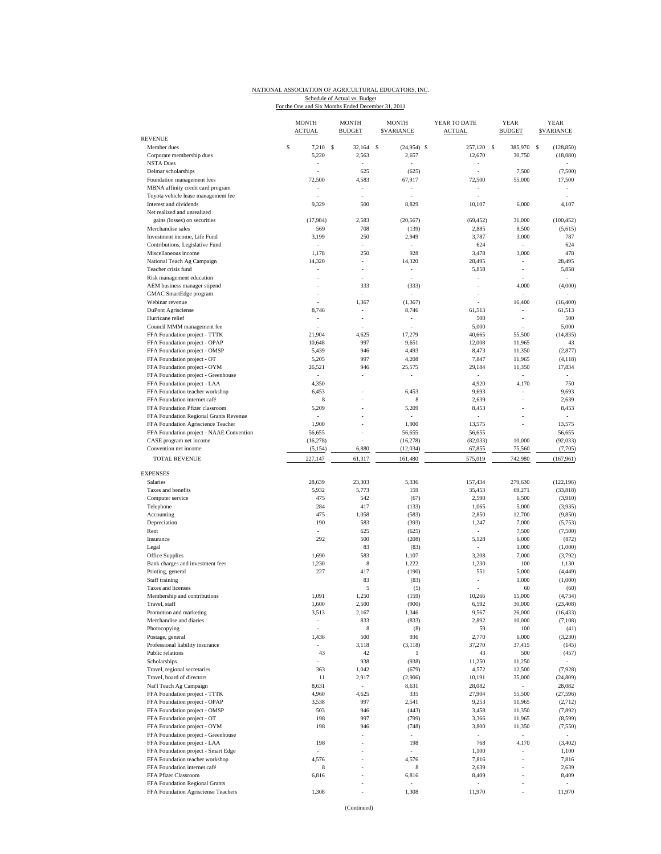## NATIONAL ASSOCIATION OF AGRICULTURAL EDUCATORS, INC. Schedule of Actual vs. Budget<br>For the One and Six Months Ended December 31, 2011

|                                                                     | <b>MONTH</b><br><b>ACTUAL</b> |      | <b>MONTH</b><br><b>BUDGET</b> | <b>MONTH</b><br><b>SVARIANCE</b> | YEAR TO DATE<br><b>ACTUAL</b> | <b>YEAR</b><br><b>BUDGET</b> | <b>YEAR</b><br><b>SVARIANCE</b> |
|---------------------------------------------------------------------|-------------------------------|------|-------------------------------|----------------------------------|-------------------------------|------------------------------|---------------------------------|
| <b>REVENUE</b><br>Member dues                                       | \$<br>7,210                   | - \$ | 32,164                        | \$<br>$(24,954)$ \$              | 257,120 \$                    | 385,970                      | S<br>(128, 850)                 |
| Corporate membership dues                                           | 5,220                         |      | 2,563                         | 2,657                            | 12,670                        | 30,750                       | (18,080)                        |
| <b>NSTA Dues</b>                                                    | ÷,                            |      | ÷,                            | ÷,                               | ÷,                            |                              |                                 |
| Delmar scholarships                                                 |                               |      | 625                           | (625)                            | í,                            | 7,500                        | (7,500)                         |
| Foundation management fees                                          | 72,500                        |      | 4,583                         | 67,917                           | 72,500                        | 55,000                       | 17,500                          |
| MBNA affinity credit card program                                   |                               |      |                               |                                  |                               |                              |                                 |
| Toyota vehicle lease management fee                                 |                               |      | ä,                            |                                  | ÷,                            |                              |                                 |
| Interest and dividends                                              | 9,329                         |      | 500                           | 8,829                            | 10,107                        | 6,000                        | 4,107                           |
| Net realized and unrealized                                         |                               |      |                               |                                  |                               |                              |                                 |
| gains (losses) on securities                                        | (17,984)                      |      | 2,583                         | (20, 567)                        | (69, 452)                     | 31,000                       | (100, 452)                      |
| Merchandise sales                                                   | 569                           |      | 708                           | (139)                            | 2,885                         | 8,500                        | (5,615)                         |
| Investment income, Life Fund<br>Contributions, Legislative Fund     | 3,199<br>×,                   |      | 250<br>$\bar{a}$              | 2,949<br>J,                      | 3,787<br>624                  | 3,000<br>$\bar{a}$           | 787<br>624                      |
| Miscellaneous income                                                | 1,178                         |      | 250                           | 928                              | 3,478                         | 3,000                        | 478                             |
| National Teach Ag Campaign                                          | 14,320                        |      | ÷,                            | 14,320                           | 28,495                        | ÷                            | 28,495                          |
| Teacher crisis fund                                                 |                               |      |                               |                                  | 5,858                         | ÷                            | 5,858                           |
| Risk management education                                           |                               |      |                               |                                  | ÷,                            |                              |                                 |
| AEM business manager stipend                                        |                               |      | 333                           | (333)                            |                               | 4,000                        | (4,000)                         |
| GMAC SmartEdge program                                              |                               |      |                               |                                  |                               |                              |                                 |
| Webinar revenue                                                     |                               |      | 1,367                         | (1, 367)                         |                               | 16,400                       | (16, 400)                       |
| DuPont Agrisciense                                                  | 8,746                         |      | $\bar{a}$                     | 8,746                            | 61,513                        | ÷,                           | 61,513                          |
| Hurricane relief                                                    |                               |      | $\overline{\phantom{a}}$      |                                  | 500                           | ٠                            | 500                             |
| Council MMM management fee                                          |                               |      |                               |                                  | 5,000                         |                              | 5,000                           |
| FFA Foundation project - TTTK                                       | 21,904                        |      | 4,625                         | 17,279                           | 40,665                        | 55,500                       | (14, 835)                       |
| FFA Foundation project - OPAP                                       | 10,648                        |      | 997                           | 9,651                            | 12,008                        | 11,965                       | 43                              |
| FFA Foundation project - OMSP                                       | 5,439                         |      | 946                           | 4,493                            | 8,473                         | 11,350                       | (2, 877)                        |
| FFA Foundation project - OT                                         | 5,205                         |      | 997<br>946                    | 4,208                            | 7,847                         | 11,965                       | (4, 118)                        |
| FFA Foundation project - OYM<br>FFA Foundation project - Greenhouse | 26,521<br>ä,                  |      |                               | 25,575<br>í,                     | 29,184<br>$\omega$            | 11,350<br>ä,                 | 17,834                          |
| FFA Foundation project - LAA                                        | 4,350                         |      |                               |                                  | 4,920                         | 4,170                        | 750                             |
| FFA Foundation teacher workshop                                     | 6,453                         |      |                               | 6,453                            | 9,693                         |                              | 9,693                           |
| FFA Foundation internet café                                        | 8                             |      |                               | 8                                | 2,639                         |                              | 2,639                           |
| FFA Foundation Pfizer classroom                                     | 5,209                         |      |                               | 5,209                            | 8,453                         | ä,                           | 8,453                           |
| FFA Foundation Regional Grants Revenue                              |                               |      |                               |                                  | $\sim$                        |                              | ÷                               |
| FFA Foundation Agriscience Teacher                                  | 1,900                         |      |                               | 1,900                            | 13,575                        | ä,                           | 13,575                          |
| FFA Foundation project - NAAE Convention                            | 56,655                        |      |                               | 56,655                           | 56,655                        | Í,                           | 56,655                          |
| CASE program net income                                             | (16, 278)                     |      |                               | (16, 278)                        | (82,033)                      | 10,000                       | (92, 033)                       |
| Convention net income                                               | (5, 154)                      |      | 6,880                         | (12, 034)                        | 67,855                        | 75,560                       | (7,705)                         |
| <b>TOTAL REVENUE</b>                                                | 227,147                       |      | 61,317                        | 161,480                          | 575,019                       | 742,980                      | (167, 961)                      |
|                                                                     |                               |      |                               |                                  |                               |                              |                                 |
| <b>EXPENSES</b>                                                     |                               |      |                               |                                  |                               |                              |                                 |
| Salaries                                                            | 28,639                        |      | 23,303                        | 5,336                            | 157,434                       | 279,630                      | (122, 196)                      |
| Taxes and benefits                                                  | 5,932                         |      | 5,773                         | 159                              | 35,453                        | 69,271                       | (33, 818)                       |
| Computer service                                                    | 475                           |      | 542                           | (67)                             | 2,590                         | 6,500                        | (3,910)                         |
| Telephone                                                           | 284                           |      | 417                           | (133)                            | 1,065                         | 5,000                        | (3,935)                         |
| Accounting<br>Depreciation                                          | 475<br>190                    |      | 1,058<br>583                  | (583)<br>(393)                   | 2,850<br>1,247                | 12,700<br>7,000              | (9, 850)<br>(5,753)             |
| Rent                                                                | ä,                            |      | 625                           | (625)                            | $\bar{a}$                     | 7,500                        | (7,500)                         |
| Insurance                                                           | 292                           |      | 500                           | (208)                            | 5,128                         | 6,000                        | (872)                           |
| Legal                                                               |                               |      | 83                            | (83)                             |                               | 1,000                        | (1,000)                         |
| Office Supplies                                                     | 1,690                         |      | 583                           | 1,107                            | 3,208                         | 7,000                        | (3,792)                         |
| Bank charges and investment fees                                    | 1,230                         |      | 8                             | 1,222                            | 1,230                         | 100                          | 1,130                           |
| Printing, general                                                   | 227                           |      | 417                           | (190)                            | 551                           | 5,000                        | (4, 449)                        |
| Staff training                                                      |                               |      | 83                            | (83)                             |                               | 1,000                        | (1,000)                         |
| Taxes and licenses                                                  |                               |      | 5                             | (5)                              | ä,                            | 60                           | (60)                            |
| Membership and contributions                                        | 1,091                         |      | 1,250                         | (159)                            | 10,266                        | 15,000                       | (4, 734)                        |
| Travel, staff                                                       | 1,600                         |      | 2,500                         | (900)                            | 6,592                         | 30,000                       | (23, 408)                       |
| Promotion and marketing                                             | 3,513                         |      | 2,167                         | 1,346                            | 9,567                         | 26,000                       | (16, 433)                       |
| Merchandise and diaries                                             | $\overline{\phantom{a}}$      |      | 833                           | (833)                            | 2,892                         | 10,000                       | (7,108)                         |
| Photocopying                                                        |                               |      | 8                             | (8)                              | 59                            | 100                          | (41)                            |
| Postage, general                                                    | 1,436                         |      | 500                           | 936                              | 2,770                         | 6,000                        | (3,230)                         |
| Professional liability insurance                                    |                               |      | 3,118                         | (3, 118)                         | 37,270                        | 37,415                       | (145)                           |
| Public relations                                                    | 43                            |      | 42                            | $\mathbf{1}$                     | 43                            | 500                          | (457)                           |
| Scholarships                                                        | ä,                            |      | 938                           | (938)                            | 11,250                        | 11,250                       |                                 |
| Travel, regional secretaries                                        | 363                           |      | 1,042                         | (679)                            | 4,572                         | 12,500                       | (7,928)                         |
| Travel, board of directors                                          | 11                            |      | 2,917                         | (2,906)                          | 10,191                        | 35,000                       | (24, 809)                       |
| Nat'l Teach Ag Campaign<br>FFA Foundation project - TTTK            | 8,631<br>4,960                |      | $\sim$<br>4,625               | 8,631<br>335                     | 28,082<br>27,904              | $\sim$<br>55,500             | 28,082<br>(27, 596)             |
| FFA Foundation project - OPAP                                       | 3,538                         |      | 997                           | 2,541                            | 9,253                         | 11,965                       | (2,712)                         |
| FFA Foundation project - OMSP                                       | 503                           |      | 946                           | (443)                            | 3,458                         | 11,350                       | (7, 892)                        |
| FFA Foundation project - OT                                         | 198                           |      | 997                           | (799)                            | 3,366                         | 11,965                       | (8, 599)                        |
| FFA Foundation project - OYM                                        | 198                           |      | 946                           | (748)                            | 3,800                         | 11,350                       | (7, 550)                        |
| FFA Foundation project - Greenhouse                                 |                               |      |                               |                                  |                               | ÷,                           |                                 |
| FFA Foundation project - LAA                                        | 198                           |      |                               | 198                              | 768                           | 4,170                        | (3, 402)                        |
| FFA Foundation project - Smart Edge                                 |                               |      |                               |                                  | 1,100                         | ÷,                           | 1,100                           |
| FFA Foundation teacher workshop                                     | 4,576                         |      |                               | 4,576                            | 7,816                         | i,                           | 7,816                           |
| FFA Foundation internet café                                        | 8                             |      |                               | 8                                | 2,639                         |                              | 2,639                           |
| FFA Pfizer Classroom                                                | 6,816                         |      |                               | 6,816                            | 8,409                         |                              | 8,409                           |
| FFA Foundation Regional Grants                                      |                               |      |                               |                                  | ÷                             |                              |                                 |
| FFA Foundation Agrisciense Teachers                                 | 1,308                         |      |                               | 1,308                            | 11,970                        |                              | 11,970                          |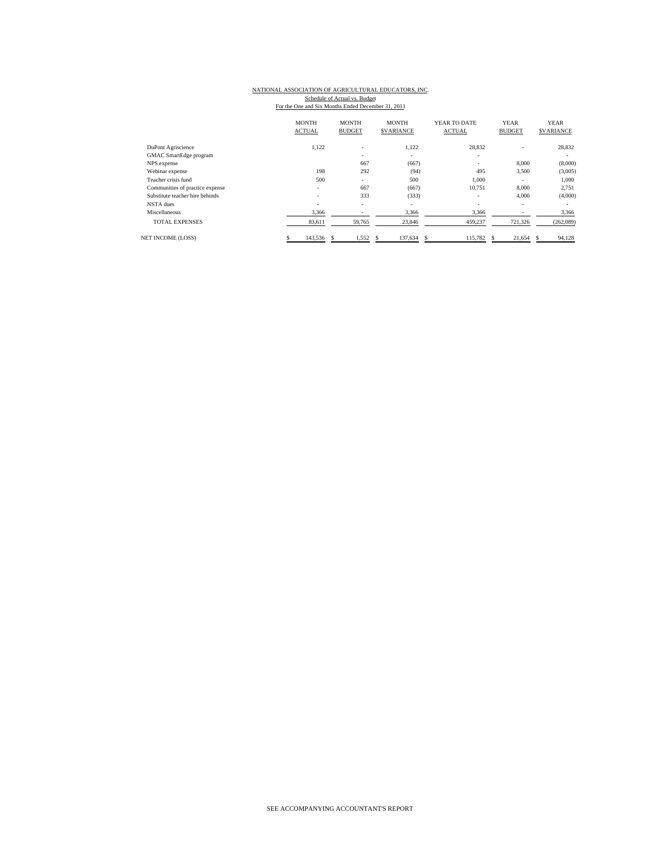## NATIONAL ASSOCIATION OF AGRICULTURAL EDUCATORS, INC. Schedule of Actual vs. Budget<br>For the One and Six Months Ended December 31, 2011

|                                 | <b>MONTH</b><br><b>ACTUAL</b> | <b>MONTH</b><br><b>BUDGET</b> | <b>MONTH</b><br><b>SVARIANCE</b> | YEAR TO DATE<br><b>ACTUAL</b> | <b>YEAR</b><br><b>BUDGET</b> | <b>YEAR</b><br><b>SVARIANCE</b> |
|---------------------------------|-------------------------------|-------------------------------|----------------------------------|-------------------------------|------------------------------|---------------------------------|
| DuPont Agriscience              | 1.122                         | $\qquad \qquad \blacksquare$  | 1.122                            | 28.832                        |                              | 28,832                          |
| GMAC SmartEdge program          |                               | ٠                             | ٠                                | ۰                             |                              | ۰                               |
| NPS expense                     |                               | 667                           | (667)                            | ۰                             | 8,000                        | (8,000)                         |
| Webinar expense                 | 198                           | 292                           | (94)                             | 495                           | 3,500                        | (3,005)                         |
| Teacher crisis fund             | 500                           | ٠                             | 500                              | 1,000                         | ۰.                           | 1,000                           |
| Communities of practice expense | $\overline{\phantom{a}}$      | 667                           | (667)                            | 10,751                        | 8,000                        | 2,751                           |
| Substitute teacher hire behinds | $\overline{\phantom{a}}$      | 333                           | (333)                            | ٠                             | 4,000                        | (4,000)                         |
| NSTA dues                       | $\sim$                        | ٠                             | ٠                                | ٠                             |                              |                                 |
| Miscellaneous                   | 3,366                         |                               | 3,366                            | 3,366                         |                              | 3,366                           |
| <b>TOTAL EXPENSES</b>           | 83,611                        | 59,765                        | 23,846                           | 459,237                       | 721,326                      | (262,089)                       |
| <b>NET INCOME (LOSS)</b>        | 143,536                       | 1,552                         | 137,634<br>-S                    | 115,782<br>\$.                | 21,654<br>-S                 | 94,128<br>N.                    |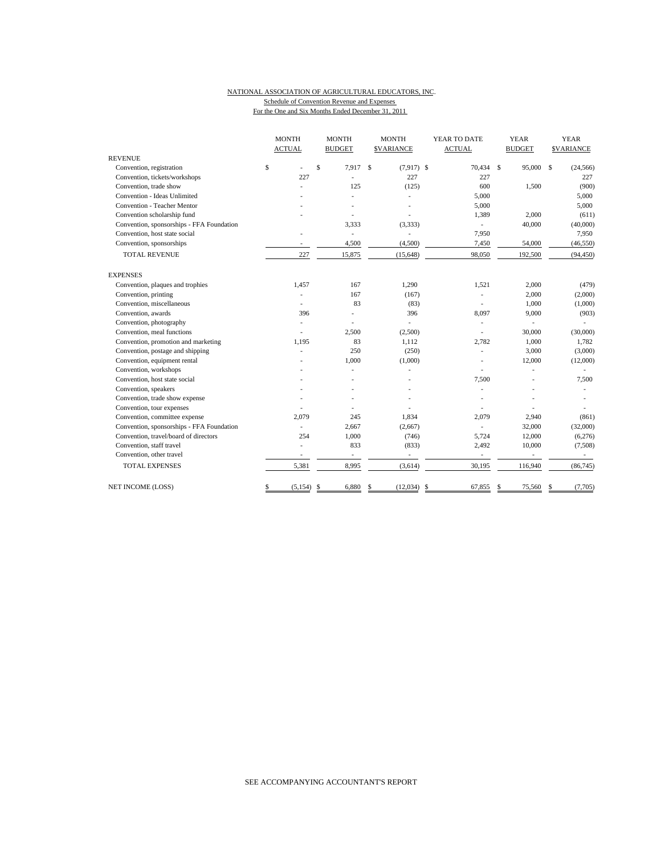#### NATIONAL ASSOCIATION OF AGRICULTURAL EDUCATORS, INC. Schedule of Convention Revenue and Expenses For the One and Six Months Ended December 31, 2011

|                                           | <b>MONTH</b>   | <b>MONTH</b><br><b>MONTH</b> |                               | YEAR TO DATE             | <b>YEAR</b>   | <b>YEAR</b>      |  |
|-------------------------------------------|----------------|------------------------------|-------------------------------|--------------------------|---------------|------------------|--|
|                                           | <b>ACTUAL</b>  | <b>BUDGET</b>                | <b>\$VARIANCE</b>             | <b>ACTUAL</b>            | <b>BUDGET</b> | <b>SVARIANCE</b> |  |
| <b>REVENUE</b>                            |                |                              |                               |                          |               |                  |  |
| Convention, registration                  | \$             | \$<br>7.917                  | <sup>\$</sup><br>$(7,917)$ \$ | 70,434 \$                | 95,000 \$     | (24, 566)        |  |
| Convention, tickets/workshops             | 227            | ä,                           | 227                           | 227                      |               | 227              |  |
| Convention, trade show                    |                | 125                          | (125)                         | 600                      | 1,500         | (900)            |  |
| Convention - Ideas Unlimited              |                |                              | ٠                             | 5,000                    |               | 5,000            |  |
| <b>Convention - Teacher Mentor</b>        |                |                              |                               | 5,000                    |               | 5,000            |  |
| Convention scholarship fund               |                |                              |                               | 1,389                    | 2,000         | (611)            |  |
| Convention, sponsorships - FFA Foundation |                | 3,333                        | (3, 333)                      | L,                       | 40,000        | (40,000)         |  |
| Convention, host state social             |                | ä,                           |                               | 7,950                    |               | 7,950            |  |
| Convention, sponsorships                  |                | 4,500                        | (4,500)                       | 7,450                    | 54,000        | (46, 550)        |  |
| <b>TOTAL REVENUE</b>                      | 227            | 15,875                       | (15, 648)                     | 98,050                   | 192,500       | (94, 450)        |  |
| <b>EXPENSES</b>                           |                |                              |                               |                          |               |                  |  |
| Convention, plaques and trophies          | 1,457          | 167                          | 1,290                         | 1,521                    | 2,000         | (479)            |  |
| Convention, printing                      |                | 167                          | (167)                         |                          | 2,000         | (2,000)          |  |
| Convention, miscellaneous                 |                | 83                           | (83)                          |                          | 1,000         | (1,000)          |  |
| Convention, awards                        | 396            |                              | 396                           | 8,097                    | 9,000         | (903)            |  |
| Convention, photography                   |                |                              | ٠                             | ä,                       | ÷.            |                  |  |
| Convention, meal functions                |                | 2,500                        | (2,500)                       |                          | 30,000        | (30,000)         |  |
| Convention, promotion and marketing       | 1,195          | 83                           | 1,112                         | 2,782                    | 1,000         | 1,782            |  |
| Convention, postage and shipping          |                | 250                          | (250)                         |                          | 3,000         | (3,000)          |  |
| Convention, equipment rental              |                | 1,000                        | (1,000)                       |                          | 12,000        | (12,000)         |  |
| Convention, workshops                     |                |                              |                               |                          |               |                  |  |
| Convention, host state social             |                |                              |                               | 7,500                    |               | 7,500            |  |
| Convention, speakers                      |                |                              |                               |                          |               |                  |  |
| Convention, trade show expense            |                |                              |                               |                          |               |                  |  |
| Convention, tour expenses                 |                |                              |                               |                          |               |                  |  |
| Convention, committee expense             | 2,079          | 245                          | 1,834                         | 2,079                    | 2,940         | (861)            |  |
| Convention, sponsorships - FFA Foundation |                | 2,667                        | (2,667)                       | ä,                       | 32,000        | (32,000)         |  |
| Convention, travel/board of directors     | 254            | 1,000                        | (746)                         | 5,724                    | 12,000        | (6,276)          |  |
| Convention, staff travel                  |                | 833                          | (833)                         | 2,492                    | 10,000        | (7,508)          |  |
| Convention, other travel                  |                | $\frac{1}{2}$                | $\overline{\phantom{a}}$      | $\overline{\phantom{a}}$ |               |                  |  |
| <b>TOTAL EXPENSES</b>                     | 5,381          | 8,995                        | (3,614)                       | 30,195                   | 116,940       | (86, 745)        |  |
| NET INCOME (LOSS)                         | \$<br>(5, 154) | 6,880<br>\$                  | \$<br>(12,034)                | \$<br>67,855             | 75,560<br>S   | (7,705)<br>S     |  |